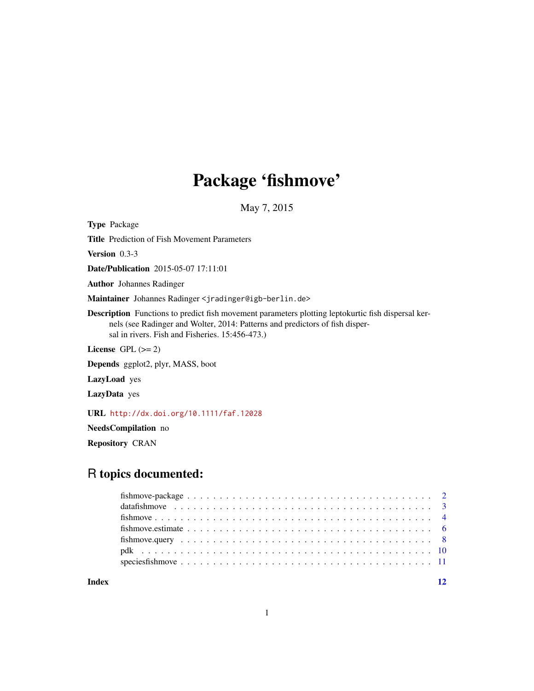## Package 'fishmove'

May 7, 2015

<span id="page-0-0"></span>Type Package

Title Prediction of Fish Movement Parameters

Version 0.3-3

Date/Publication 2015-05-07 17:11:01

Author Johannes Radinger

Maintainer Johannes Radinger <jradinger@igb-berlin.de>

Description Functions to predict fish movement parameters plotting leptokurtic fish dispersal kernels (see Radinger and Wolter, 2014: Patterns and predictors of fish dispersal in rivers. Fish and Fisheries. 15:456-473.)

License GPL  $(>= 2)$ 

Depends ggplot2, plyr, MASS, boot

LazyLoad yes

LazyData yes

URL <http://dx.doi.org/10.1111/faf.12028>

NeedsCompilation no

Repository CRAN

### R topics documented:

| Index |                                                                                                            |
|-------|------------------------------------------------------------------------------------------------------------|
|       |                                                                                                            |
|       |                                                                                                            |
|       |                                                                                                            |
|       |                                                                                                            |
|       |                                                                                                            |
|       | data fishmove $\ldots \ldots \ldots \ldots \ldots \ldots \ldots \ldots \ldots \ldots \ldots \ldots \ldots$ |
|       |                                                                                                            |

1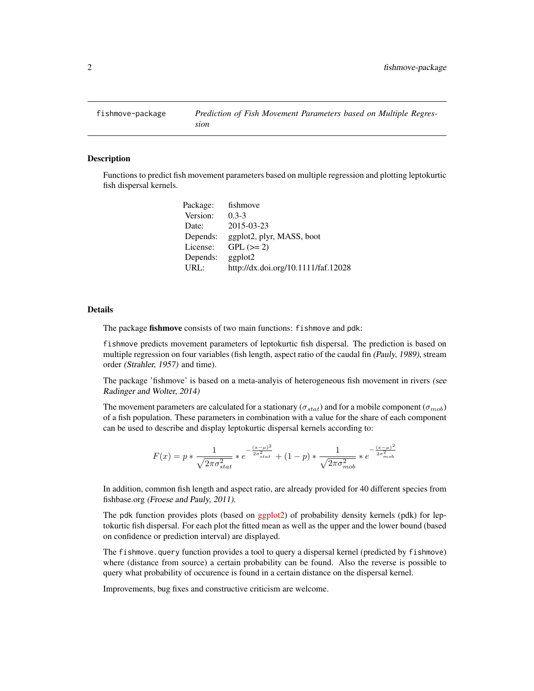<span id="page-1-0"></span>

#### Description

Functions to predict fish movement parameters based on multiple regression and plotting leptokurtic fish dispersal kernels.

| Package: | fishmove                            |
|----------|-------------------------------------|
| Version: | $0.3 - 3$                           |
| Date:    | 2015-03-23                          |
| Depends: | ggplot2, plyr, MASS, boot           |
| License: | $GPL (=2)$                          |
| Depends: | ggplot2                             |
| URL:     | http://dx.doi.org/10.1111/faf.12028 |

#### Details

The package fishmove consists of two main functions: fishmove and pdk:

fishmove predicts movement parameters of leptokurtic fish dispersal. The prediction is based on multiple regression on four variables (fish length, aspect ratio of the caudal fin (Pauly, 1989), stream order (Strahler, 1957) and time).

The package 'fishmove' is based on a meta-analyis of heterogeneous fish movement in rivers (see Radinger and Wolter, 2014)

The movement parameters are calculated for a stationary ( $\sigma_{stat}$ ) and for a mobile component ( $\sigma_{mob}$ ) of a fish population. These parameters in combination with a value for the share of each component can be used to describe and display leptokurtic dispersal kernels according to:

$$
F(x) = p * \frac{1}{\sqrt{2\pi\sigma_{stat}^2}} * e^{-\frac{(x-\mu)^2}{2\sigma_{stat}^2}} + (1-p) * \frac{1}{\sqrt{2\pi\sigma_{mob}^2}} * e^{-\frac{(x-\mu)^2}{2\sigma_{mob}^2}}
$$

In addition, common fish length and aspect ratio, are already provided for 40 different species from fishbase.org (Froese and Pauly, 2011).

The pdk function provides plots (based on [ggplot2\)](http://had.co.nz/ggplot2/) of probability density kernels (pdk) for leptokurtic fish dispersal. For each plot the fitted mean as well as the upper and the lower bound (based on confidence or prediction interval) are displayed.

The fishmove.query function provides a tool to query a dispersal kernel (predicted by fishmove) where (distance from source) a certain probability can be found. Also the reverse is possible to query what probability of occurence is found in a certain distance on the dispersal kernel.

Improvements, bug fixes and constructive criticism are welcome.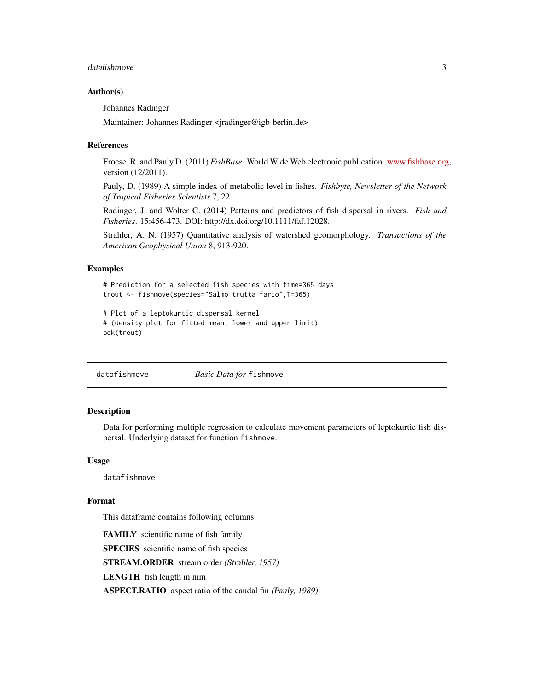#### <span id="page-2-0"></span>datafishmove 3

#### Author(s)

Johannes Radinger

Maintainer: Johannes Radinger <jradinger@igb-berlin.de>

#### References

Froese, R. and Pauly D. (2011) *FishBase.* World Wide Web electronic publication. [www.fishbase.org,](www.fishbase.org) version (12/2011).

Pauly, D. (1989) A simple index of metabolic level in fishes. *Fishbyte, Newsletter of the Network of Tropical Fisheries Scientists* 7, 22.

Radinger, J. and Wolter C. (2014) Patterns and predictors of fish dispersal in rivers. *Fish and Fisheries*. 15:456-473. DOI: http://dx.doi.org/10.1111/faf.12028.

Strahler, A. N. (1957) Quantitative analysis of watershed geomorphology. *Transactions of the American Geophysical Union* 8, 913-920.

#### Examples

```
# Prediction for a selected fish species with time=365 days
trout <- fishmove(species="Salmo trutta fario",T=365)
```

```
# Plot of a leptokurtic dispersal kernel
# (density plot for fitted mean, lower and upper limit)
pdk(trout)
```
datafishmove *Basic Data for* fishmove

#### Description

Data for performing multiple regression to calculate movement parameters of leptokurtic fish dispersal. Underlying dataset for function fishmove.

#### Usage

datafishmove

#### Format

This dataframe contains following columns:

FAMILY scientific name of fish family SPECIES scientific name of fish species STREAM.ORDER stream order (Strahler, 1957) LENGTH fish length in mm ASPECT.RATIO aspect ratio of the caudal fin (Pauly, 1989)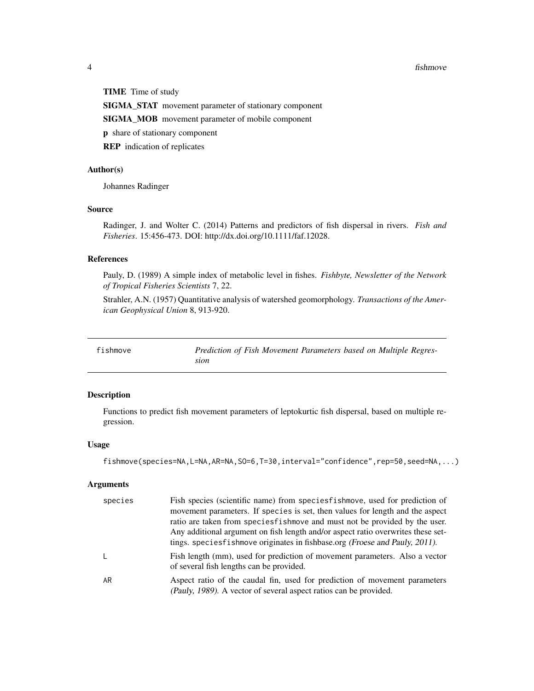#### <span id="page-3-0"></span>4 fishmove

TIME Time of study SIGMA\_STAT movement parameter of stationary component SIGMA\_MOB movement parameter of mobile component p share of stationary component REP indication of replicates

#### Author(s)

Johannes Radinger

#### Source

Radinger, J. and Wolter C. (2014) Patterns and predictors of fish dispersal in rivers. *Fish and Fisheries*. 15:456-473. DOI: http://dx.doi.org/10.1111/faf.12028.

#### References

Pauly, D. (1989) A simple index of metabolic level in fishes. *Fishbyte, Newsletter of the Network of Tropical Fisheries Scientists* 7, 22.

Strahler, A.N. (1957) Quantitative analysis of watershed geomorphology. *Transactions of the American Geophysical Union* 8, 913-920.

<span id="page-3-1"></span>

| fishmove | Prediction of Fish Movement Parameters based on Multiple Regres- |
|----------|------------------------------------------------------------------|
|          | sion                                                             |

#### Description

Functions to predict fish movement parameters of leptokurtic fish dispersal, based on multiple regression.

#### Usage

fishmove(species=NA,L=NA,AR=NA,SO=6,T=30,interval="confidence",rep=50,seed=NA,...)

#### Arguments

| species | Fish species (scientific name) from speciesfishmove, used for prediction of<br>movement parameters. If species is set, then values for length and the aspect<br>ratio are taken from species fish move and must not be provided by the user. |
|---------|----------------------------------------------------------------------------------------------------------------------------------------------------------------------------------------------------------------------------------------------|
|         | Any additional argument on fish length and/or aspect ratio overwrites these set-<br>tings. species f ishmove originates in fishbase.org (Froese and Pauly, 2011).                                                                            |
|         | Fish length (mm), used for prediction of movement parameters. Also a vector<br>of several fish lengths can be provided.                                                                                                                      |
| AR      | Aspect ratio of the caudal fin, used for prediction of movement parameters<br>(Pauly, 1989). A vector of several aspect ratios can be provided.                                                                                              |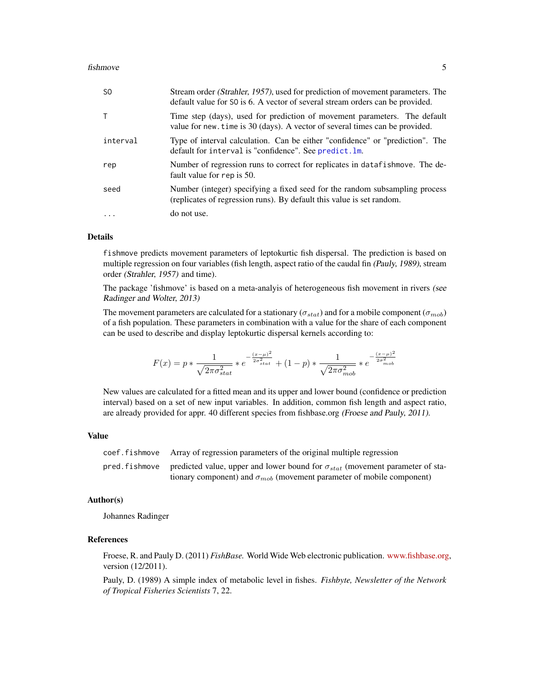<span id="page-4-0"></span>

| S <sub>0</sub> | Stream order <i>(Strahler, 1957)</i> , used for prediction of movement parameters. The<br>default value for S0 is 6. A vector of several stream orders can be provided. |
|----------------|-------------------------------------------------------------------------------------------------------------------------------------------------------------------------|
| T              | Time step (days), used for prediction of movement parameters. The default<br>value for new. time is 30 (days). A vector of several times can be provided.               |
| interval       | Type of interval calculation. Can be either "confidence" or "prediction". The<br>default for interval is "confidence". See predict. Im.                                 |
| rep            | Number of regression runs to correct for replicates in datafishmove. The de-<br>fault value for rep is 50.                                                              |
| seed           | Number (integer) specifying a fixed seed for the random subsampling process<br>(replicates of regression runs). By default this value is set random.                    |
| $\cdot$        | do not use.                                                                                                                                                             |

#### Details

fishmove predicts movement parameters of leptokurtic fish dispersal. The prediction is based on multiple regression on four variables (fish length, aspect ratio of the caudal fin (Pauly, 1989), stream order (Strahler, 1957) and time).

The package 'fishmove' is based on a meta-analyis of heterogeneous fish movement in rivers (see Radinger and Wolter, 2013)

The movement parameters are calculated for a stationary ( $\sigma_{stat}$ ) and for a mobile component ( $\sigma_{mob}$ ) of a fish population. These parameters in combination with a value for the share of each component can be used to describe and display leptokurtic dispersal kernels according to:

$$
F(x) = p * \frac{1}{\sqrt{2\pi\sigma_{stat}^2}} * e^{-\frac{(x-\mu)^2}{2\sigma_{stat}^2}} + (1-p) * \frac{1}{\sqrt{2\pi\sigma_{mob}^2}} * e^{-\frac{(x-\mu)^2}{2\sigma_{mob}^2}}
$$

New values are calculated for a fitted mean and its upper and lower bound (confidence or prediction interval) based on a set of new input variables. In addition, common fish length and aspect ratio, are already provided for appr. 40 different species from fishbase.org (Froese and Pauly, 2011).

#### Value

| coef, fishmove Array of regression parameters of the original multiple regression                       |
|---------------------------------------------------------------------------------------------------------|
| pred. f i shmove predicted value, upper and lower bound for $\sigma_{stat}$ (movement parameter of sta- |
| tionary component) and $\sigma_{mob}$ (movement parameter of mobile component)                          |

#### Author(s)

Johannes Radinger

#### References

Froese, R. and Pauly D. (2011) *FishBase.* World Wide Web electronic publication. [www.fishbase.org,](www.fishbase.org) version (12/2011).

Pauly, D. (1989) A simple index of metabolic level in fishes. *Fishbyte, Newsletter of the Network of Tropical Fisheries Scientists* 7, 22.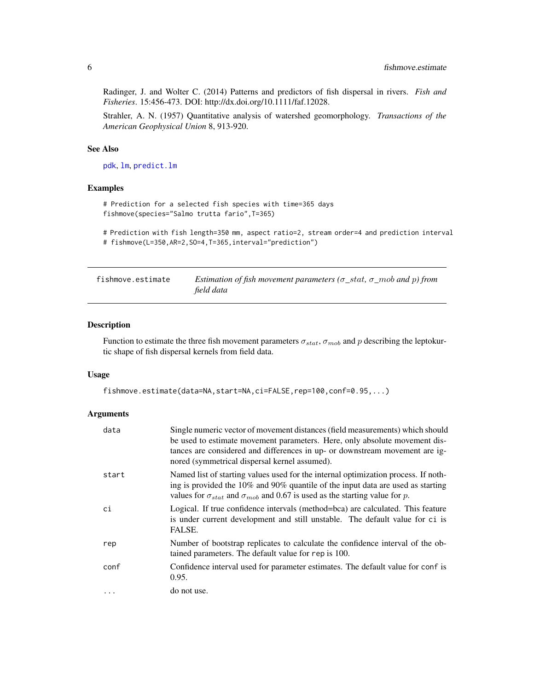<span id="page-5-0"></span>Radinger, J. and Wolter C. (2014) Patterns and predictors of fish dispersal in rivers. *Fish and Fisheries*. 15:456-473. DOI: http://dx.doi.org/10.1111/faf.12028.

Strahler, A. N. (1957) Quantitative analysis of watershed geomorphology. *Transactions of the American Geophysical Union* 8, 913-920.

#### See Also

[pdk](#page-9-1), [lm](#page-0-0), [predict.lm](#page-0-0)

#### Examples

```
# Prediction for a selected fish species with time=365 days
fishmove(species="Salmo trutta fario",T=365)
```

```
# Prediction with fish length=350 mm, aspect ratio=2, stream order=4 and prediction interval
# fishmove(L=350,AR=2,SO=4,T=365,interval="prediction")
```

| fishmove.estimate | Estimation of fish movement parameters ( $\sigma$ _stat, $\sigma$ _mob and p) from |
|-------------------|------------------------------------------------------------------------------------|
|                   | field data                                                                         |

#### Description

Function to estimate the three fish movement parameters  $\sigma_{stat}$ ,  $\sigma_{mob}$  and p describing the leptokurtic shape of fish dispersal kernels from field data.

#### Usage

```
fishmove.estimate(data=NA,start=NA,ci=FALSE,rep=100,conf=0.95,...)
```
#### Arguments

| data  | Single numeric vector of movement distances (field measurements) which should<br>be used to estimate movement parameters. Here, only absolute movement dis-<br>tances are considered and differences in up- or downstream movement are ig-<br>nored (symmetrical dispersal kernel assumed). |
|-------|---------------------------------------------------------------------------------------------------------------------------------------------------------------------------------------------------------------------------------------------------------------------------------------------|
| start | Named list of starting values used for the internal optimization process. If noth-<br>ing is provided the 10% and 90% quantile of the input data are used as starting<br>values for $\sigma_{stat}$ and $\sigma_{mob}$ and 0.67 is used as the starting value for p.                        |
| ci    | Logical. If true confidence intervals (method=bca) are calculated. This feature<br>is under current development and still unstable. The default value for ci is<br>FALSE.                                                                                                                   |
| rep   | Number of bootstrap replicates to calculate the confidence interval of the ob-<br>tained parameters. The default value for rep is 100.                                                                                                                                                      |
| conf  | Confidence interval used for parameter estimates. The default value for conf is<br>0.95.                                                                                                                                                                                                    |
|       | do not use.                                                                                                                                                                                                                                                                                 |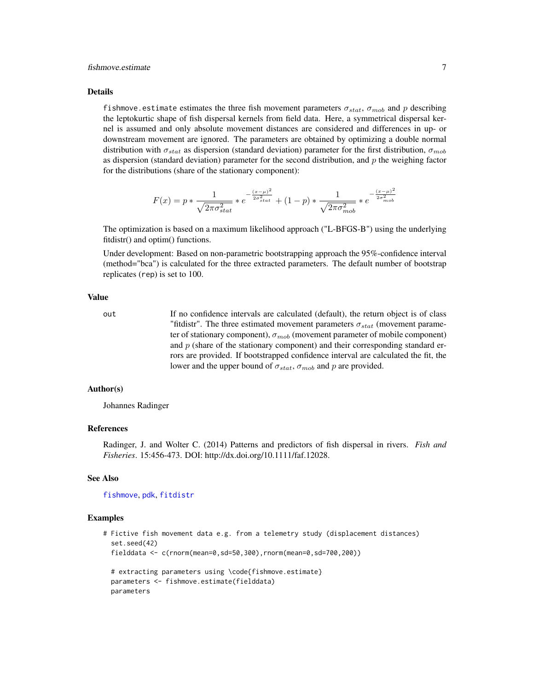#### <span id="page-6-0"></span>fishmove.estimate 7

#### Details

fishmove.estimate estimates the three fish movement parameters  $\sigma_{stat}$ ,  $\sigma_{mob}$  and p describing the leptokurtic shape of fish dispersal kernels from field data. Here, a symmetrical dispersal kernel is assumed and only absolute movement distances are considered and differences in up- or downstream movement are ignored. The parameters are obtained by optimizing a double normal distribution with  $\sigma_{stat}$  as dispersion (standard deviation) parameter for the first distribution,  $\sigma_{mob}$ as dispersion (standard deviation) parameter for the second distribution, and  $p$  the weighing factor for the distributions (share of the stationary component):

$$
F(x) = p * \frac{1}{\sqrt{2\pi\sigma_{stat}^2}} * e^{-\frac{(x-\mu)^2}{2\sigma_{stat}^2}} + (1-p) * \frac{1}{\sqrt{2\pi\sigma_{mob}^2}} * e^{-\frac{(x-\mu)^2}{2\sigma_{mob}^2}}
$$

The optimization is based on a maximum likelihood approach ("L-BFGS-B") using the underlying fitdistr() and optim() functions.

Under development: Based on non-parametric bootstrapping approach the 95%-confidence interval (method="bca") is calculated for the three extracted parameters. The default number of bootstrap replicates (rep) is set to 100.

#### Value

out If no confidence intervals are calculated (default), the return object is of class "fitdistr". The three estimated movement parameters  $\sigma_{stat}$  (movement parameter of stationary component),  $\sigma_{mob}$  (movement parameter of mobile component) and  $p$  (share of the stationary component) and their corresponding standard errors are provided. If bootstrapped confidence interval are calculated the fit, the lower and the upper bound of  $\sigma_{stat}$ ,  $\sigma_{mob}$  and p are provided.

#### Author(s)

Johannes Radinger

#### References

Radinger, J. and Wolter C. (2014) Patterns and predictors of fish dispersal in rivers. *Fish and Fisheries*. 15:456-473. DOI: http://dx.doi.org/10.1111/faf.12028.

#### See Also

[fishmove](#page-3-1), [pdk](#page-9-1), [fitdistr](#page-0-0)

#### Examples

# Fictive fish movement data e.g. from a telemetry study (displacement distances) set.seed(42) fielddata <- c(rnorm(mean=0,sd=50,300),rnorm(mean=0,sd=700,200))

```
# extracting parameters using \code{fishmove.estimate}
parameters <- fishmove.estimate(fielddata)
parameters
```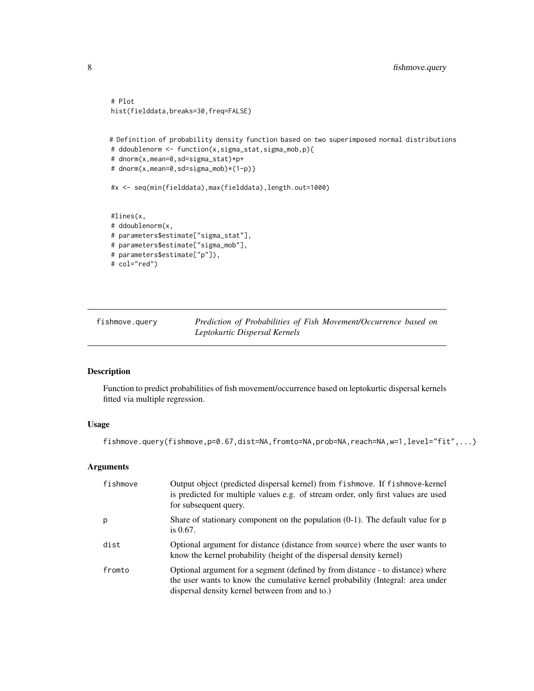```
# Plot
hist(fielddata,breaks=30,freq=FALSE)
# Definition of probability density function based on two superimposed normal distributions
# ddoublenorm <- function(x,sigma_stat,sigma_mob,p){
# dnorm(x,mean=0,sd=sigma_stat)*p+
# dnorm(x,mean=0,sd=sigma_mob)*(1-p)}
#x <- seq(min(fielddata),max(fielddata),length.out=1000)
#lines(x,
# ddoublenorm(x,
# parameters$estimate["sigma_stat"],
# parameters$estimate["sigma_mob"],
# parameters$estimate["p"]),
# col="red")
```
fishmove.query *Prediction of Probabilities of Fish Movement/Occurrence based on Leptokurtic Dispersal Kernels*

#### Description

Function to predict probabilities of fish movement/occurrence based on leptokurtic dispersal kernels fitted via multiple regression.

#### Usage

fishmove.query(fishmove,p=0.67,dist=NA,fromto=NA,prob=NA,reach=NA,w=1,level="fit",...)

#### Arguments

| fishmove | Output object (predicted dispersal kernel) from fishmove. If fishmove-kernel<br>is predicted for multiple values e.g. of stream order, only first values are used<br>for subsequent query.                         |
|----------|--------------------------------------------------------------------------------------------------------------------------------------------------------------------------------------------------------------------|
| p        | Share of stationary component on the population $(0-1)$ . The default value for p<br>is $0.67$ .                                                                                                                   |
| dist     | Optional argument for distance (distance from source) where the user wants to<br>know the kernel probability (height of the dispersal density kernel)                                                              |
| fromto   | Optional argument for a segment (defined by from distance - to distance) where<br>the user wants to know the cumulative kernel probability (Integral: area under<br>dispersal density kernel between from and to.) |

<span id="page-7-0"></span>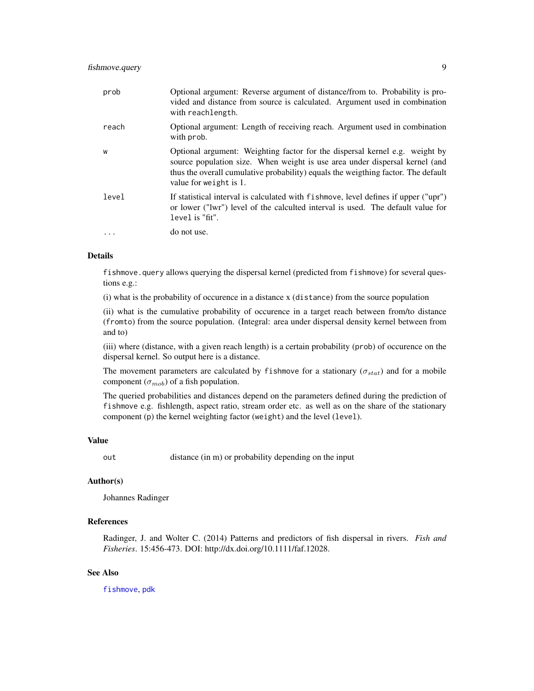<span id="page-8-0"></span>

| prob  | Optional argument: Reverse argument of distance/from to. Probability is pro-<br>vided and distance from source is calculated. Argument used in combination<br>with reachlength.                                                                                           |
|-------|---------------------------------------------------------------------------------------------------------------------------------------------------------------------------------------------------------------------------------------------------------------------------|
| reach | Optional argument: Length of receiving reach. Argument used in combination<br>with prob.                                                                                                                                                                                  |
| W     | Optional argument: Weighting factor for the dispersal kernel e.g. weight by<br>source population size. When weight is use area under dispersal kernel (and<br>thus the overall cumulative probability) equals the weigthing factor. The default<br>value for weight is 1. |
| level | If statistical interval is calculated with fishmove, level defines if upper ("upr")<br>or lower ("lwr") level of the calculted interval is used. The default value for<br>level is "fit".                                                                                 |
|       | do not use.                                                                                                                                                                                                                                                               |

#### Details

fishmove.query allows querying the dispersal kernel (predicted from fishmove) for several questions e.g.:

(i) what is the probability of occurence in a distance x (distance) from the source population

(ii) what is the cumulative probability of occurence in a target reach between from/to distance (fromto) from the source population. (Integral: area under dispersal density kernel between from and to)

(iii) where (distance, with a given reach length) is a certain probability (prob) of occurence on the dispersal kernel. So output here is a distance.

The movement parameters are calculated by fishmove for a stationary ( $\sigma_{stat}$ ) and for a mobile component  $(\sigma_{mob})$  of a fish population.

The queried probabilities and distances depend on the parameters defined during the prediction of fishmove e.g. fishlength, aspect ratio, stream order etc. as well as on the share of the stationary component (p) the kernel weighting factor (weight) and the level (level).

#### Value

out distance (in m) or probability depending on the input

#### Author(s)

Johannes Radinger

#### References

Radinger, J. and Wolter C. (2014) Patterns and predictors of fish dispersal in rivers. *Fish and Fisheries*. 15:456-473. DOI: http://dx.doi.org/10.1111/faf.12028.

#### See Also

[fishmove](#page-3-1), [pdk](#page-9-1)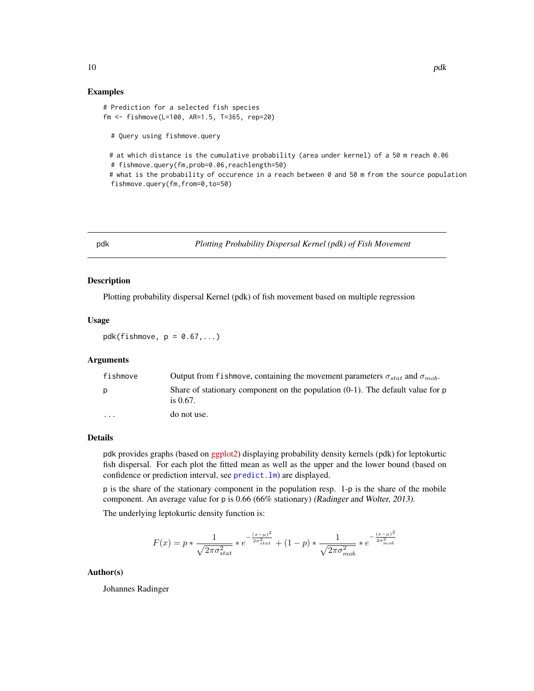#### Examples

```
# Prediction for a selected fish species
fm <- fishmove(L=100, AR=1.5, T=365, rep=20)
```
- # Query using fishmove.query
- # at which distance is the cumulative probability (area under kernel) of a 50 m reach 0.06
- # fishmove.query(fm,prob=0.06,reachlength=50)

# what is the probability of occurence in a reach between 0 and 50 m from the source population fishmove.query(fm,from=0,to=50)

#### <span id="page-9-1"></span>pdk *Plotting Probability Dispersal Kernel (pdk) of Fish Movement*

#### Description

Plotting probability dispersal Kernel (pdk) of fish movement based on multiple regression

#### Usage

 $pdk(fishmove, p = 0.67,...)$ 

#### Arguments

| fishmove | Output from f i shmove, containing the movement parameters $\sigma_{stat}$ and $\sigma_{mob}$ .  |
|----------|--------------------------------------------------------------------------------------------------|
| p        | Share of stationary component on the population $(0-1)$ . The default value for p<br>is $0.67$ . |
| $\cdots$ | do not use.                                                                                      |

#### Details

pdk provides graphs (based on [ggplot2\)](http://had.co.nz/ggplot2/) displaying probability density kernels (pdk) for leptokurtic fish dispersal. For each plot the fitted mean as well as the upper and the lower bound (based on confidence or prediction interval, see [predict.lm](#page-0-0)) are displayed.

p is the share of the stationary component in the population resp. 1-p is the share of the mobile component. An average value for p is 0.66 (66% stationary) (Radinger and Wolter, 2013).

The underlying leptokurtic density function is:

$$
F(x) = p * \frac{1}{\sqrt{2\pi\sigma_{stat}^2}} * e^{-\frac{(x-\mu)^2}{2\sigma_{stat}^2}} + (1-p) * \frac{1}{\sqrt{2\pi\sigma_{mob}^2}} * e^{-\frac{(x-\mu)^2}{2\sigma_{mob}^2}}
$$

#### Author(s)

Johannes Radinger

<span id="page-9-0"></span>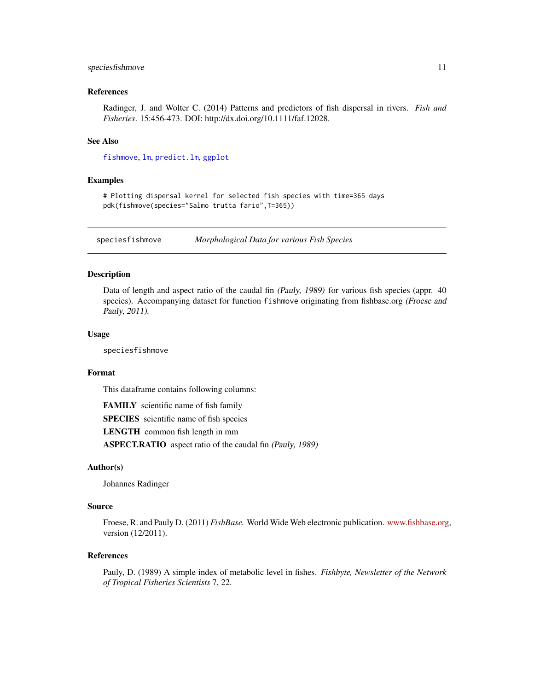#### <span id="page-10-0"></span>speciesfishmove 11

#### References

Radinger, J. and Wolter C. (2014) Patterns and predictors of fish dispersal in rivers. *Fish and Fisheries*. 15:456-473. DOI: http://dx.doi.org/10.1111/faf.12028.

#### See Also

[fishmove](#page-3-1), [lm](#page-0-0), [predict.lm](#page-0-0), [ggplot](#page-0-0)

#### Examples

```
# Plotting dispersal kernel for selected fish species with time=365 days
pdk(fishmove(species="Salmo trutta fario",T=365))
```
speciesfishmove *Morphological Data for various Fish Species*

#### Description

Data of length and aspect ratio of the caudal fin (Pauly, 1989) for various fish species (appr. 40 species). Accompanying dataset for function fishmove originating from fishbase.org (Froese and Pauly, 2011).

#### Usage

speciesfishmove

#### Format

This dataframe contains following columns:

FAMILY scientific name of fish family

SPECIES scientific name of fish species

LENGTH common fish length in mm

ASPECT.RATIO aspect ratio of the caudal fin (Pauly, 1989)

#### Author(s)

Johannes Radinger

#### Source

Froese, R. and Pauly D. (2011) *FishBase.* World Wide Web electronic publication. [www.fishbase.org,](www.fishbase.org) version (12/2011).

#### References

Pauly, D. (1989) A simple index of metabolic level in fishes. *Fishbyte, Newsletter of the Network of Tropical Fisheries Scientists* 7, 22.